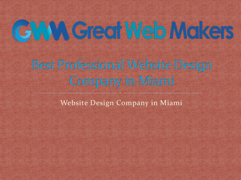# **CYMAGreat Meb Makers**

**Best Professional Website Design Company in Miami** 

Website Design Company in Miami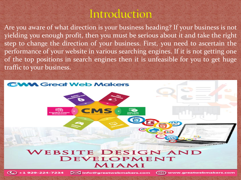### Introduction

Are you aware of what direction is your business heading? If your business is not yielding you enough profit, then you must be serious about it and take the right step to change the direction of your business. First, you need to ascertain the performance of your website in various searching engines. If it is not getting one of the top positions in search engines then it is unfeasible for you to get huge traffic to your business.

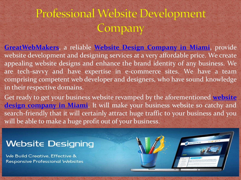## **Professional Website Development** Company

**[GreatWebMakers](https://greatwebmakers.com/)**, a reliable **[Website](https://greatwebmakers.com/web-designing-development.php) [Design](https://greatwebmakers.com/web-designing-development.php) [Company](https://greatwebmakers.com/web-designing-development.php) [in](https://greatwebmakers.com/web-designing-development.php) [Miami](https://greatwebmakers.com/web-designing-development.php)**, provide website development and designing services at a very affordable price. We create appealing website designs and enhance the brand identity of any business. We are tech-savvy and have expertise in e-commerce sites. We have a team comprising competent web developer and designers, who have sound knowledge in their respective domains.

Get ready to get your business website revamped by the aforementioned **[website](https://www.greatwebmakers.com/blogs/professional-web-designing-development-company-in-miami/) [design](https://www.greatwebmakers.com/blogs/professional-web-designing-development-company-in-miami/) [company](https://www.greatwebmakers.com/blogs/professional-web-designing-development-company-in-miami/) [in](https://www.greatwebmakers.com/blogs/professional-web-designing-development-company-in-miami/) [Miami](https://www.greatwebmakers.com/blogs/professional-web-designing-development-company-in-miami/)**. It will make your business website so catchy and search-friendly that it will certainly attract huge traffic to your business and you will be able to make a huge profit out of your business.

#### **Website Designing**

We Build Creative, Effective & **Responsive Professional Websites** 

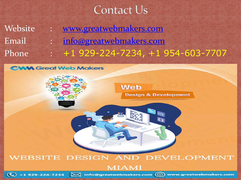## Contact Us

- Website : [www.greatwebmakers.com](http://www.greatwebmakers.com/)
- Email : [info@greatwebmakers.com](mailto:info@greatwebmakers.com)
- Phone : +1 929-224-7234, +1 954-603-7707

**CWM Great Web Makers** 



**Web Design & Development** 

#### WEBSITE DESIGN AND DEVELOPMENT